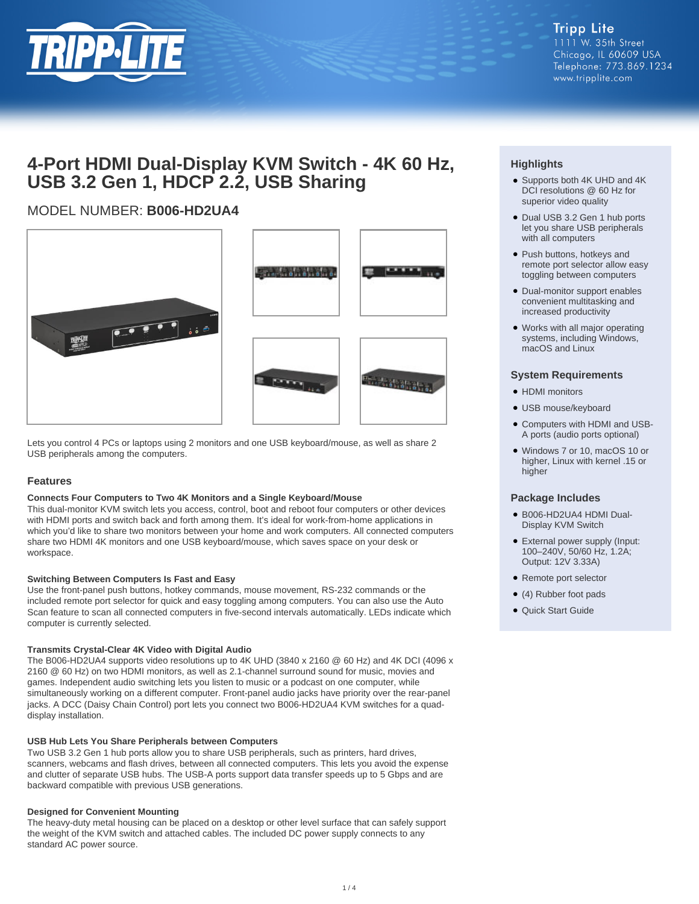

# **4-Port HDMI Dual-Display KVM Switch - 4K 60 Hz, USB 3.2 Gen 1, HDCP 2.2, USB Sharing**

# MODEL NUMBER: **B006-HD2UA4**





Lets you control 4 PCs or laptops using 2 monitors and one USB keyboard/mouse, as well as share 2 USB peripherals among the computers.

### **Features**

#### **Connects Four Computers to Two 4K Monitors and a Single Keyboard/Mouse**

This dual-monitor KVM switch lets you access, control, boot and reboot four computers or other devices with HDMI ports and switch back and forth among them. It's ideal for work-from-home applications in which you'd like to share two monitors between your home and work computers. All connected computers share two HDMI 4K monitors and one USB keyboard/mouse, which saves space on your desk or workspace.

#### **Switching Between Computers Is Fast and Easy**

Use the front-panel push buttons, hotkey commands, mouse movement, RS-232 commands or the included remote port selector for quick and easy toggling among computers. You can also use the Auto Scan feature to scan all connected computers in five-second intervals automatically. LEDs indicate which computer is currently selected.

#### **Transmits Crystal-Clear 4K Video with Digital Audio**

The B006-HD2UA4 supports video resolutions up to 4K UHD (3840 x 2160 @ 60 Hz) and 4K DCI (4096 x 2160 @ 60 Hz) on two HDMI monitors, as well as 2.1-channel surround sound for music, movies and games. Independent audio switching lets you listen to music or a podcast on one computer, while simultaneously working on a different computer. Front-panel audio jacks have priority over the rear-panel jacks. A DCC (Daisy Chain Control) port lets you connect two B006-HD2UA4 KVM switches for a quaddisplay installation.

#### **USB Hub Lets You Share Peripherals between Computers**

Two USB 3.2 Gen 1 hub ports allow you to share USB peripherals, such as printers, hard drives, scanners, webcams and flash drives, between all connected computers. This lets you avoid the expense and clutter of separate USB hubs. The USB-A ports support data transfer speeds up to 5 Gbps and are backward compatible with previous USB generations.

#### **Designed for Convenient Mounting**

The heavy-duty metal housing can be placed on a desktop or other level surface that can safely support the weight of the KVM switch and attached cables. The included DC power supply connects to any standard AC power source.

## **Highlights**

- Supports both 4K UHD and 4K DCI resolutions @ 60 Hz for superior video quality
- Dual USB 3.2 Gen 1 hub ports let you share USB peripherals with all computers
- Push buttons, hotkeys and remote port selector allow easy toggling between computers
- Dual-monitor support enables convenient multitasking and increased productivity
- Works with all major operating systems, including Windows, macOS and Linux

#### **System Requirements**

- HDMI monitors
- USB mouse/keyboard
- Computers with HDMI and USB-● A ports (audio ports optional)
- Windows 7 or 10, macOS 10 or higher, Linux with kernel .15 or higher

#### **Package Includes**

- B006-HD2UA4 HDMI Dual-● Display KVM Switch
- External power supply (Input: 100–240V, 50/60 Hz, 1.2A; Output: 12V 3.33A)
- Remote port selector
- (4) Rubber foot pads
- Quick Start Guide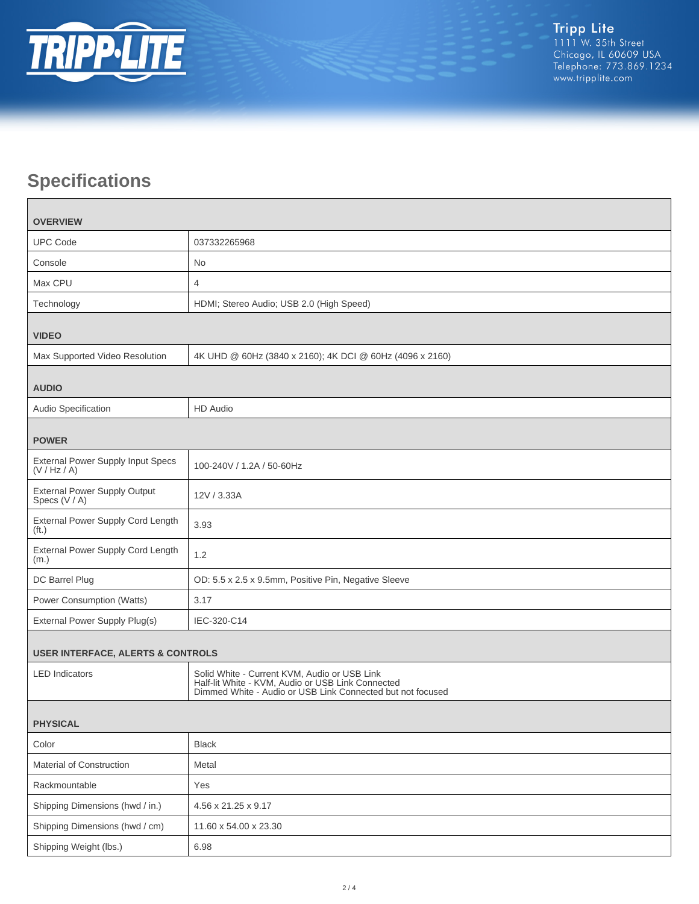

# **Specifications**

 $\Box$ 

| <b>OVERVIEW</b>                                          |                                                                                                                                                                 |  |
|----------------------------------------------------------|-----------------------------------------------------------------------------------------------------------------------------------------------------------------|--|
| <b>UPC Code</b>                                          | 037332265968                                                                                                                                                    |  |
| Console                                                  | No                                                                                                                                                              |  |
| Max CPU                                                  | $\overline{4}$                                                                                                                                                  |  |
| Technology                                               | HDMI; Stereo Audio; USB 2.0 (High Speed)                                                                                                                        |  |
| <b>VIDEO</b>                                             |                                                                                                                                                                 |  |
| Max Supported Video Resolution                           | 4K UHD @ 60Hz (3840 x 2160); 4K DCI @ 60Hz (4096 x 2160)                                                                                                        |  |
| <b>AUDIO</b>                                             |                                                                                                                                                                 |  |
| Audio Specification                                      | <b>HD</b> Audio                                                                                                                                                 |  |
| <b>POWER</b>                                             |                                                                                                                                                                 |  |
| <b>External Power Supply Input Specs</b><br>(V / Hz / A) | 100-240V / 1.2A / 50-60Hz                                                                                                                                       |  |
| <b>External Power Supply Output</b><br>Specs (V / A)     | 12V / 3.33A                                                                                                                                                     |  |
| External Power Supply Cord Length<br>(f <sub>t</sub> )   | 3.93                                                                                                                                                            |  |
| External Power Supply Cord Length<br>(m.)                | 1.2                                                                                                                                                             |  |
| DC Barrel Plug                                           | OD: 5.5 x 2.5 x 9.5mm, Positive Pin, Negative Sleeve                                                                                                            |  |
| Power Consumption (Watts)                                | 3.17                                                                                                                                                            |  |
| External Power Supply Plug(s)                            | IEC-320-C14                                                                                                                                                     |  |
| <b>USER INTERFACE, ALERTS &amp; CONTROLS</b>             |                                                                                                                                                                 |  |
| <b>LED</b> Indicators                                    | Solid White - Current KVM, Audio or USB Link<br>Half-lit White - KVM, Audio or USB Link Connected<br>Dimmed White - Audio or USB Link Connected but not focused |  |
| <b>PHYSICAL</b>                                          |                                                                                                                                                                 |  |
| Color                                                    | <b>Black</b>                                                                                                                                                    |  |
| Material of Construction                                 | Metal                                                                                                                                                           |  |
| Rackmountable                                            | Yes                                                                                                                                                             |  |
| Shipping Dimensions (hwd / in.)                          | 4.56 x 21.25 x 9.17                                                                                                                                             |  |
| Shipping Dimensions (hwd / cm)                           | 11.60 x 54.00 x 23.30                                                                                                                                           |  |
| Shipping Weight (lbs.)                                   | 6.98                                                                                                                                                            |  |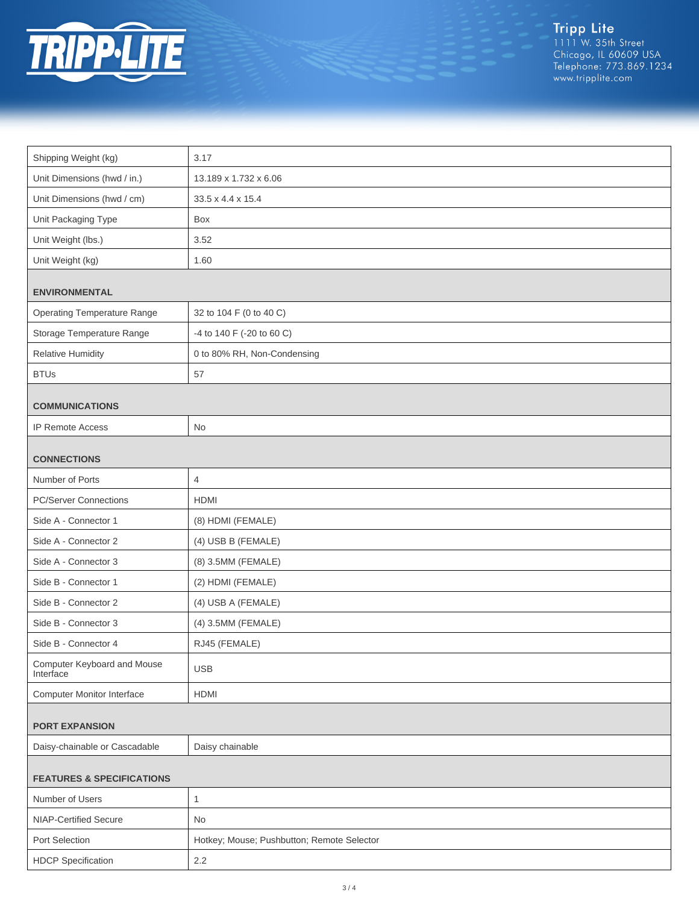

Tripp Lite<br>1111 W. 35th Street<br>Chicago, IL 60609 USA<br>Telephone: 773.869.1234<br>www.tripplite.com

| Shipping Weight (kg)                     | 3.17                                       |  |
|------------------------------------------|--------------------------------------------|--|
| Unit Dimensions (hwd / in.)              | 13.189 x 1.732 x 6.06                      |  |
| Unit Dimensions (hwd / cm)               | 33.5 x 4.4 x 15.4                          |  |
| Unit Packaging Type                      | Box                                        |  |
| Unit Weight (lbs.)                       | 3.52                                       |  |
| Unit Weight (kg)                         | 1.60                                       |  |
| <b>ENVIRONMENTAL</b>                     |                                            |  |
| <b>Operating Temperature Range</b>       | 32 to 104 F (0 to 40 C)                    |  |
| Storage Temperature Range                | -4 to 140 F (-20 to 60 C)                  |  |
| <b>Relative Humidity</b>                 | 0 to 80% RH, Non-Condensing                |  |
| <b>BTUs</b>                              | 57                                         |  |
| <b>COMMUNICATIONS</b>                    |                                            |  |
| <b>IP Remote Access</b>                  | No                                         |  |
| <b>CONNECTIONS</b>                       |                                            |  |
| Number of Ports                          | 4                                          |  |
| <b>PC/Server Connections</b>             | <b>HDMI</b>                                |  |
| Side A - Connector 1                     | (8) HDMI (FEMALE)                          |  |
| Side A - Connector 2                     | (4) USB B (FEMALE)                         |  |
| Side A - Connector 3                     | (8) 3.5MM (FEMALE)                         |  |
| Side B - Connector 1                     | (2) HDMI (FEMALE)                          |  |
| Side B - Connector 2                     | (4) USB A (FEMALE)                         |  |
| Side B - Connector 3                     | (4) 3.5MM (FEMALE)                         |  |
| Side B - Connector 4                     | RJ45 (FEMALE)                              |  |
| Computer Keyboard and Mouse<br>Interface | <b>USB</b>                                 |  |
| <b>Computer Monitor Interface</b>        | <b>HDMI</b>                                |  |
|                                          |                                            |  |
| <b>PORT EXPANSION</b>                    |                                            |  |
| Daisy-chainable or Cascadable            | Daisy chainable                            |  |
| <b>FEATURES &amp; SPECIFICATIONS</b>     |                                            |  |
| Number of Users                          | $\mathbf{1}$                               |  |
| NIAP-Certified Secure                    | No                                         |  |
| Port Selection                           | Hotkey; Mouse; Pushbutton; Remote Selector |  |
| <b>HDCP</b> Specification                | $2.2\,$                                    |  |